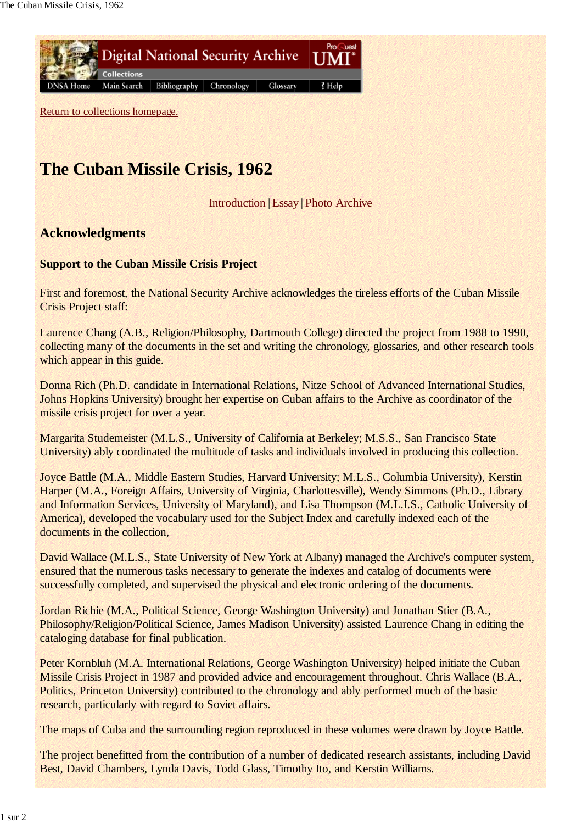

Return to collections homepage.

## **The Cuban Missile Crisis, 1962**

Introduction | Essay | Photo Archive

## **Acknowledgments**

## **Support to the Cuban Missile Crisis Project**

First and foremost, the National Security Archive acknowledges the tireless efforts of the Cuban Missile Crisis Project staff:

Laurence Chang (A.B., Religion/Philosophy, Dartmouth College) directed the project from 1988 to 1990, collecting many of the documents in the set and writing the chronology, glossaries, and other research tools which appear in this guide.

Donna Rich (Ph.D. candidate in International Relations, Nitze School of Advanced International Studies, Johns Hopkins University) brought her expertise on Cuban affairs to the Archive as coordinator of the missile crisis project for over a year.

Margarita Studemeister (M.L.S., University of California at Berkeley; M.S.S., San Francisco State University) ably coordinated the multitude of tasks and individuals involved in producing this collection.

Joyce Battle (M.A., Middle Eastern Studies, Harvard University; M.L.S., Columbia University), Kerstin Harper (M.A., Foreign Affairs, University of Virginia, Charlottesville), Wendy Simmons (Ph.D., Library and Information Services, University of Maryland), and Lisa Thompson (M.L.I.S., Catholic University of America), developed the vocabulary used for the Subject Index and carefully indexed each of the documents in the collection,

David Wallace (M.L.S., State University of New York at Albany) managed the Archive's computer system, ensured that the numerous tasks necessary to generate the indexes and catalog of documents were successfully completed, and supervised the physical and electronic ordering of the documents.

Jordan Richie (M.A., Political Science, George Washington University) and Jonathan Stier (B.A., Philosophy/Religion/Political Science, James Madison University) assisted Laurence Chang in editing the cataloging database for final publication.

Peter Kornbluh (M.A. International Relations, George Washington University) helped initiate the Cuban Missile Crisis Project in 1987 and provided advice and encouragement throughout. Chris Wallace (B.A., Politics, Princeton University) contributed to the chronology and ably performed much of the basic research, particularly with regard to Soviet affairs.

The maps of Cuba and the surrounding region reproduced in these volumes were drawn by Joyce Battle.

The project benefitted from the contribution of a number of dedicated research assistants, including David Best, David Chambers, Lynda Davis, Todd Glass, Timothy Ito, and Kerstin Williams.